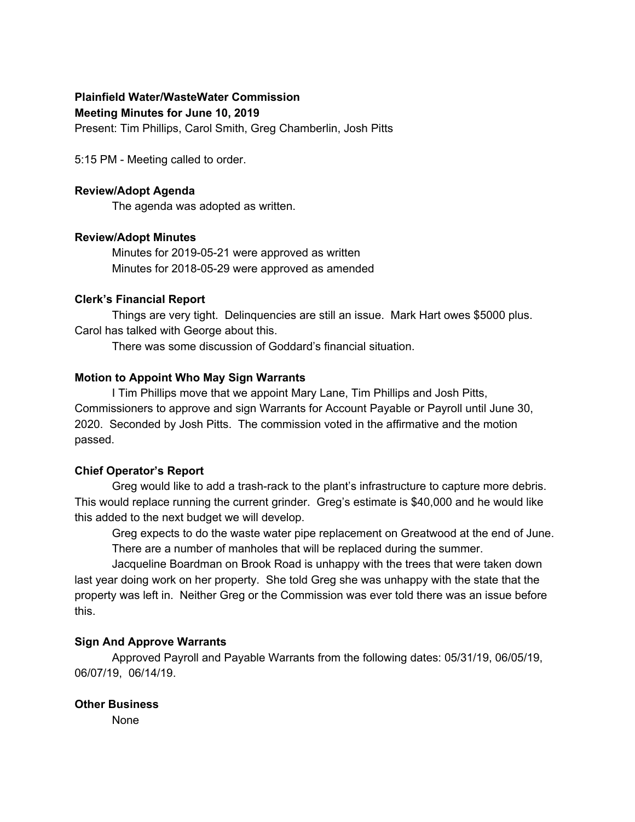# **Plainfield Water/WasteWater Commission**

**Meeting Minutes for June 10, 2019**

Present: Tim Phillips, Carol Smith, Greg Chamberlin, Josh Pitts

5:15 PM - Meeting called to order.

#### **Review/Adopt Agenda**

The agenda was adopted as written.

### **Review/Adopt Minutes**

Minutes for 2019-05-21 were approved as written Minutes for 2018-05-29 were approved as amended

### **Clerk's Financial Report**

Things are very tight. Delinquencies are still an issue. Mark Hart owes \$5000 plus. Carol has talked with George about this.

There was some discussion of Goddard's financial situation.

### **Motion to Appoint Who May Sign Warrants**

I Tim Phillips move that we appoint Mary Lane, Tim Phillips and Josh Pitts, Commissioners to approve and sign Warrants for Account Payable or Payroll until June 30, 2020. Seconded by Josh Pitts. The commission voted in the affirmative and the motion passed.

# **Chief Operator's Report**

Greg would like to add a trash-rack to the plant's infrastructure to capture more debris. This would replace running the current grinder. Greg's estimate is \$40,000 and he would like this added to the next budget we will develop.

Greg expects to do the waste water pipe replacement on Greatwood at the end of June. There are a number of manholes that will be replaced during the summer.

Jacqueline Boardman on Brook Road is unhappy with the trees that were taken down last year doing work on her property. She told Greg she was unhappy with the state that the property was left in. Neither Greg or the Commission was ever told there was an issue before this.

# **Sign And Approve Warrants**

Approved Payroll and Payable Warrants from the following dates: 05/31/19, 06/05/19, 06/07/19, 06/14/19.

# **Other Business**

None